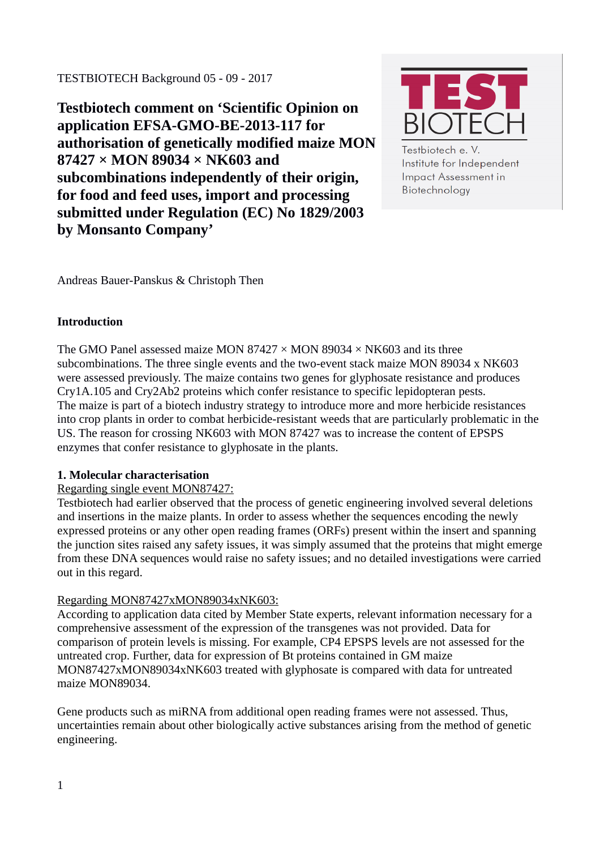TESTBIOTECH Background 05 - 09 - 2017

**Testbiotech comment on 'Scientific Opinion on application EFSA-GMO-BE-2013-117 for authorisation of genetically modified maize MON 87427 × MON 89034 × NK603 and subcombinations independently of their origin, for food and feed uses, import and processing submitted under Regulation (EC) No 1829/2003 by Monsanto Company'**



Testbiotech e. V. Institute for Independent **Impact Assessment in** Biotechnology

Andreas Bauer-Panskus & Christoph Then

# **Introduction**

The GMO Panel assessed maize MON 87427  $\times$  MON 89034  $\times$  NK603 and its three subcombinations. The three single events and the two-event stack maize MON 89034 x NK603 were assessed previously. The maize contains two genes for glyphosate resistance and produces Cry1A.105 and Cry2Ab2 proteins which confer resistance to specific lepidopteran pests. The maize is part of a biotech industry strategy to introduce more and more herbicide resistances into crop plants in order to combat herbicide-resistant weeds that are particularly problematic in the US. The reason for crossing NK603 with MON 87427 was to increase the content of EPSPS enzymes that confer resistance to glyphosate in the plants.

## **1. Molecular characterisation**

## Regarding single event MON87427:

Testbiotech had earlier observed that the process of genetic engineering involved several deletions and insertions in the maize plants. In order to assess whether the sequences encoding the newly expressed proteins or any other open reading frames (ORFs) present within the insert and spanning the junction sites raised any safety issues, it was simply assumed that the proteins that might emerge from these DNA sequences would raise no safety issues; and no detailed investigations were carried out in this regard.

## Regarding MON87427xMON89034xNK603:

According to application data cited by Member State experts, relevant information necessary for a comprehensive assessment of the expression of the transgenes was not provided. Data for comparison of protein levels is missing. For example, CP4 EPSPS levels are not assessed for the untreated crop. Further, data for expression of Bt proteins contained in GM maize MON87427xMON89034xNK603 treated with glyphosate is compared with data for untreated maize MON89034.

Gene products such as miRNA from additional open reading frames were not assessed. Thus, uncertainties remain about other biologically active substances arising from the method of genetic engineering.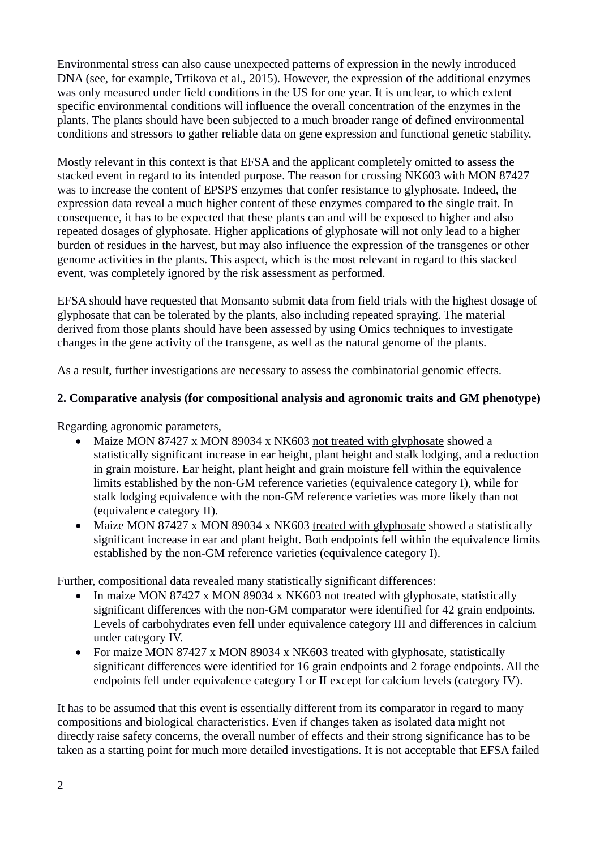Environmental stress can also cause unexpected patterns of expression in the newly introduced DNA (see, for example, Trtikova et al., 2015). However, the expression of the additional enzymes was only measured under field conditions in the US for one year. It is unclear, to which extent specific environmental conditions will influence the overall concentration of the enzymes in the plants. The plants should have been subjected to a much broader range of defined environmental conditions and stressors to gather reliable data on gene expression and functional genetic stability.

Mostly relevant in this context is that EFSA and the applicant completely omitted to assess the stacked event in regard to its intended purpose. The reason for crossing NK603 with MON 87427 was to increase the content of EPSPS enzymes that confer resistance to glyphosate. Indeed, the expression data reveal a much higher content of these enzymes compared to the single trait. In consequence, it has to be expected that these plants can and will be exposed to higher and also repeated dosages of glyphosate. Higher applications of glyphosate will not only lead to a higher burden of residues in the harvest, but may also influence the expression of the transgenes or other genome activities in the plants. This aspect, which is the most relevant in regard to this stacked event, was completely ignored by the risk assessment as performed.

EFSA should have requested that Monsanto submit data from field trials with the highest dosage of glyphosate that can be tolerated by the plants, also including repeated spraying. The material derived from those plants should have been assessed by using Omics techniques to investigate changes in the gene activity of the transgene, as well as the natural genome of the plants.

As a result, further investigations are necessary to assess the combinatorial genomic effects.

# **2. Comparative analysis (for compositional analysis and agronomic traits and GM phenotype)**

Regarding agronomic parameters,

- Maize MON 87427 x MON 89034 x NK603 not treated with glyphosate showed a statistically significant increase in ear height, plant height and stalk lodging, and a reduction in grain moisture. Ear height, plant height and grain moisture fell within the equivalence limits established by the non-GM reference varieties (equivalence category I), while for stalk lodging equivalence with the non-GM reference varieties was more likely than not (equivalence category II).
- Maize MON 87427 x MON 89034 x NK603 treated with glyphosate showed a statistically significant increase in ear and plant height. Both endpoints fell within the equivalence limits established by the non-GM reference varieties (equivalence category I).

Further, compositional data revealed many statistically significant differences:

- In maize MON 87427 x MON 89034 x NK603 not treated with glyphosate, statistically significant differences with the non-GM comparator were identified for 42 grain endpoints. Levels of carbohydrates even fell under equivalence category III and differences in calcium under category IV.
- For maize MON 87427 x MON 89034 x NK603 treated with glyphosate, statistically significant differences were identified for 16 grain endpoints and 2 forage endpoints. All the endpoints fell under equivalence category I or II except for calcium levels (category IV).

It has to be assumed that this event is essentially different from its comparator in regard to many compositions and biological characteristics. Even if changes taken as isolated data might not directly raise safety concerns, the overall number of effects and their strong significance has to be taken as a starting point for much more detailed investigations. It is not acceptable that EFSA failed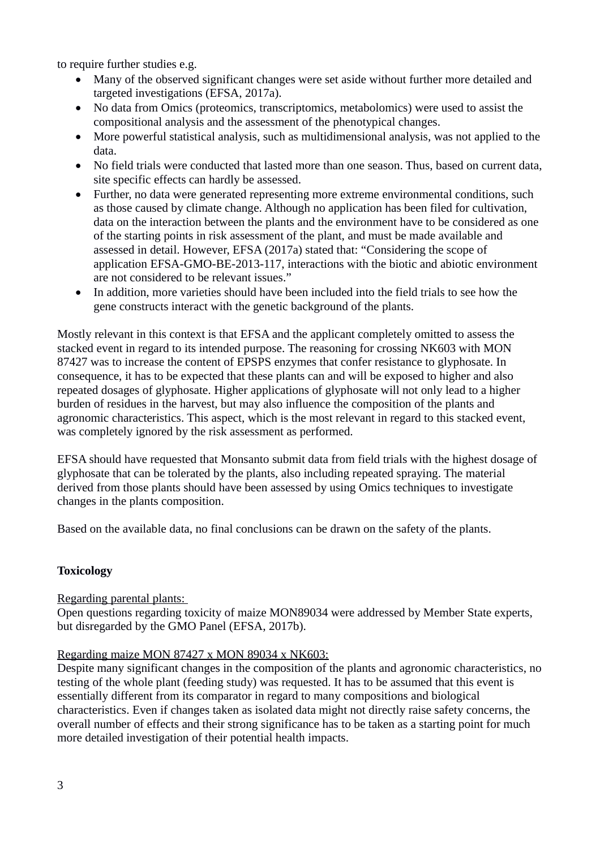to require further studies e.g.

- Many of the observed significant changes were set aside without further more detailed and targeted investigations (EFSA, 2017a).
- No data from Omics (proteomics, transcriptomics, metabolomics) were used to assist the compositional analysis and the assessment of the phenotypical changes.
- More powerful statistical analysis, such as multidimensional analysis, was not applied to the data.
- No field trials were conducted that lasted more than one season. Thus, based on current data, site specific effects can hardly be assessed.
- Further, no data were generated representing more extreme environmental conditions, such as those caused by climate change. Although no application has been filed for cultivation, data on the interaction between the plants and the environment have to be considered as one of the starting points in risk assessment of the plant, and must be made available and assessed in detail. However, EFSA (2017a) stated that: "Considering the scope of application EFSA-GMO-BE-2013-117, interactions with the biotic and abiotic environment are not considered to be relevant issues."
- In addition, more varieties should have been included into the field trials to see how the gene constructs interact with the genetic background of the plants.

Mostly relevant in this context is that EFSA and the applicant completely omitted to assess the stacked event in regard to its intended purpose. The reasoning for crossing NK603 with MON 87427 was to increase the content of EPSPS enzymes that confer resistance to glyphosate. In consequence, it has to be expected that these plants can and will be exposed to higher and also repeated dosages of glyphosate. Higher applications of glyphosate will not only lead to a higher burden of residues in the harvest, but may also influence the composition of the plants and agronomic characteristics. This aspect, which is the most relevant in regard to this stacked event, was completely ignored by the risk assessment as performed.

EFSA should have requested that Monsanto submit data from field trials with the highest dosage of glyphosate that can be tolerated by the plants, also including repeated spraying. The material derived from those plants should have been assessed by using Omics techniques to investigate changes in the plants composition.

Based on the available data, no final conclusions can be drawn on the safety of the plants.

# **Toxicology**

Regarding parental plants:

Open questions regarding toxicity of maize MON89034 were addressed by Member State experts, but disregarded by the GMO Panel (EFSA, 2017b).

# Regarding maize MON 87427 x MON 89034 x NK603:

Despite many significant changes in the composition of the plants and agronomic characteristics, no testing of the whole plant (feeding study) was requested. It has to be assumed that this event is essentially different from its comparator in regard to many compositions and biological characteristics. Even if changes taken as isolated data might not directly raise safety concerns, the overall number of effects and their strong significance has to be taken as a starting point for much more detailed investigation of their potential health impacts.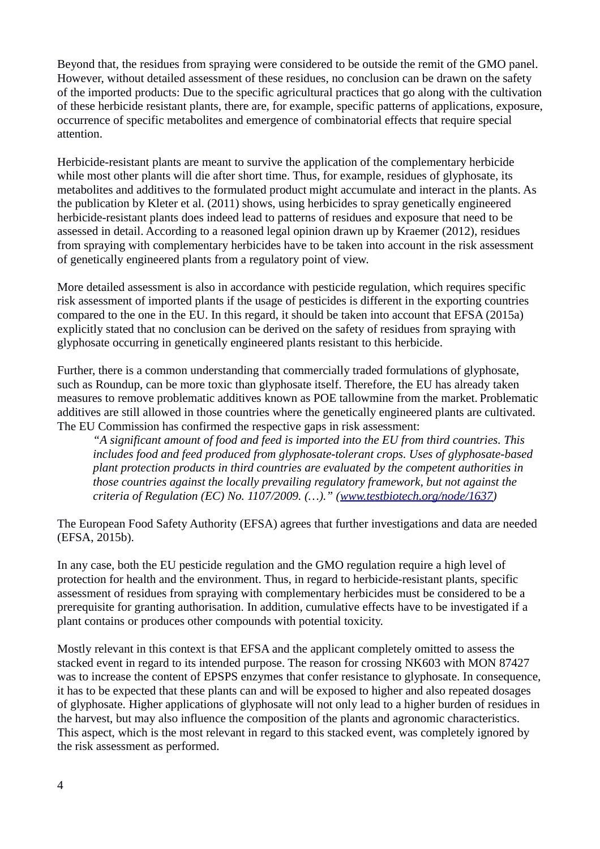Beyond that, the residues from spraying were considered to be outside the remit of the GMO panel. However, without detailed assessment of these residues, no conclusion can be drawn on the safety of the imported products: Due to the specific agricultural practices that go along with the cultivation of these herbicide resistant plants, there are, for example, specific patterns of applications, exposure, occurrence of specific metabolites and emergence of combinatorial effects that require special attention.

Herbicide-resistant plants are meant to survive the application of the complementary herbicide while most other plants will die after short time. Thus, for example, residues of glyphosate, its metabolites and additives to the formulated product might accumulate and interact in the plants. As the publication by Kleter et al. (2011) shows, using herbicides to spray genetically engineered herbicide-resistant plants does indeed lead to patterns of residues and exposure that need to be assessed in detail. According to a reasoned legal opinion drawn up by Kraemer (2012), residues from spraying with complementary herbicides have to be taken into account in the risk assessment of genetically engineered plants from a regulatory point of view.

More detailed assessment is also in accordance with pesticide regulation, which requires specific risk assessment of imported plants if the usage of pesticides is different in the exporting countries compared to the one in the EU. In this regard, it should be taken into account that EFSA (2015a) explicitly stated that no conclusion can be derived on the safety of residues from spraying with glyphosate occurring in genetically engineered plants resistant to this herbicide.

Further, there is a common understanding that commercially traded formulations of glyphosate, such as Roundup, can be more toxic than glyphosate itself. Therefore, the EU has already taken measures to remove problematic additives known as POE tallowmine from the market. Problematic additives are still allowed in those countries where the genetically engineered plants are cultivated. The EU Commission has confirmed the respective gaps in risk assessment:

*"A significant amount of food and feed is imported into the EU from third countries. This includes food and feed produced from glyphosate-tolerant crops. Uses of glyphosate-based plant protection products in third countries are evaluated by the competent authorities in those countries against the locally prevailing regulatory framework, but not against the criteria of Regulation (EC) No. 1107/2009. (…)." [\(www.testbiotech.org/node/1637\)](http://www.testbiotech.org/node/1637)* 

The European Food Safety Authority (EFSA) agrees that further investigations and data are needed (EFSA, 2015b).

In any case, both the EU pesticide regulation and the GMO regulation require a high level of protection for health and the environment. Thus, in regard to herbicide-resistant plants, specific assessment of residues from spraying with complementary herbicides must be considered to be a prerequisite for granting authorisation. In addition, cumulative effects have to be investigated if a plant contains or produces other compounds with potential toxicity.

Mostly relevant in this context is that EFSA and the applicant completely omitted to assess the stacked event in regard to its intended purpose. The reason for crossing NK603 with MON 87427 was to increase the content of EPSPS enzymes that confer resistance to glyphosate. In consequence, it has to be expected that these plants can and will be exposed to higher and also repeated dosages of glyphosate. Higher applications of glyphosate will not only lead to a higher burden of residues in the harvest, but may also influence the composition of the plants and agronomic characteristics. This aspect, which is the most relevant in regard to this stacked event, was completely ignored by the risk assessment as performed.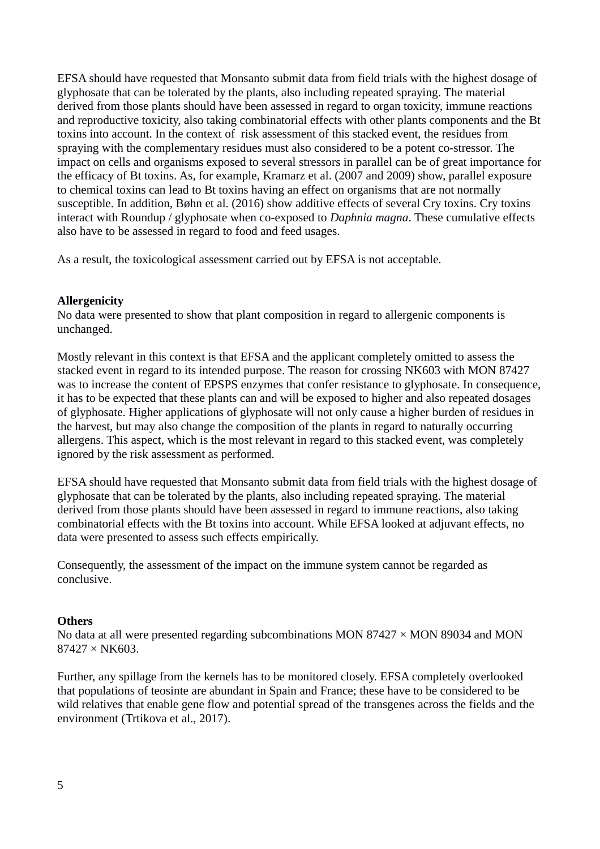EFSA should have requested that Monsanto submit data from field trials with the highest dosage of glyphosate that can be tolerated by the plants, also including repeated spraying. The material derived from those plants should have been assessed in regard to organ toxicity, immune reactions and reproductive toxicity, also taking combinatorial effects with other plants components and the Bt toxins into account. In the context of risk assessment of this stacked event, the residues from spraying with the complementary residues must also considered to be a potent co-stressor. The impact on cells and organisms exposed to several stressors in parallel can be of great importance for the efficacy of Bt toxins. As, for example, Kramarz et al. (2007 and 2009) show, parallel exposure to chemical toxins can lead to Bt toxins having an effect on organisms that are not normally susceptible. In addition, Bøhn et al. (2016) show additive effects of several Cry toxins. Cry toxins interact with Roundup / glyphosate when co-exposed to *Daphnia magna*. These cumulative effects also have to be assessed in regard to food and feed usages.

As a result, the toxicological assessment carried out by EFSA is not acceptable.

## **Allergenicity**

No data were presented to show that plant composition in regard to allergenic components is unchanged.

Mostly relevant in this context is that EFSA and the applicant completely omitted to assess the stacked event in regard to its intended purpose. The reason for crossing NK603 with MON 87427 was to increase the content of EPSPS enzymes that confer resistance to glyphosate. In consequence, it has to be expected that these plants can and will be exposed to higher and also repeated dosages of glyphosate. Higher applications of glyphosate will not only cause a higher burden of residues in the harvest, but may also change the composition of the plants in regard to naturally occurring allergens. This aspect, which is the most relevant in regard to this stacked event, was completely ignored by the risk assessment as performed.

EFSA should have requested that Monsanto submit data from field trials with the highest dosage of glyphosate that can be tolerated by the plants, also including repeated spraying. The material derived from those plants should have been assessed in regard to immune reactions, also taking combinatorial effects with the Bt toxins into account. While EFSA looked at adjuvant effects, no data were presented to assess such effects empirically.

Consequently, the assessment of the impact on the immune system cannot be regarded as conclusive.

#### **Others**

No data at all were presented regarding subcombinations MON 87427  $\times$  MON 89034 and MON 87427 × NK603.

Further, any spillage from the kernels has to be monitored closely. EFSA completely overlooked that populations of teosinte are abundant in Spain and France; these have to be considered to be wild relatives that enable gene flow and potential spread of the transgenes across the fields and the environment (Trtikova et al., 2017).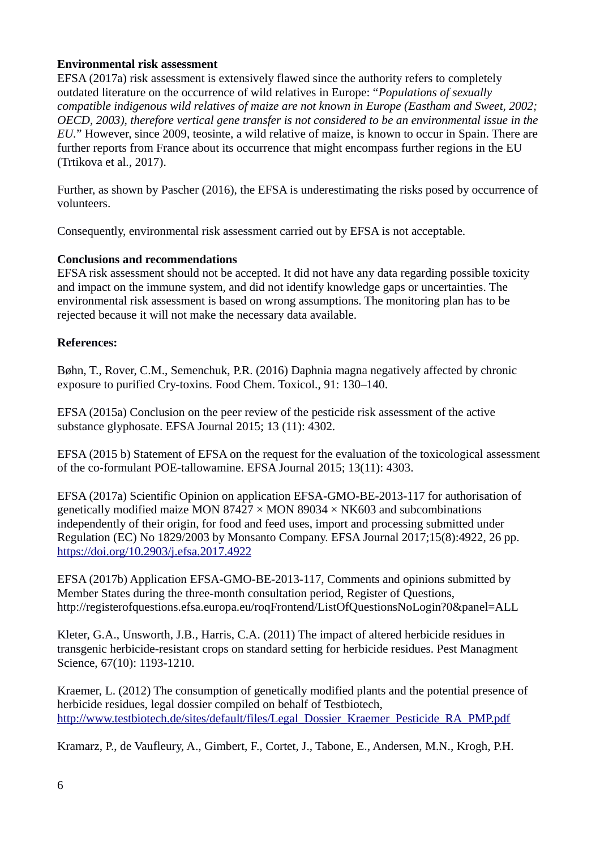## **Environmental risk assessment**

EFSA (2017a) risk assessment is extensively flawed since the authority refers to completely outdated literature on the occurrence of wild relatives in Europe: "*Populations of sexually compatible indigenous wild relatives of maize are not known in Europe (Eastham and Sweet, 2002; OECD, 2003), therefore vertical gene transfer is not considered to be an environmental issue in the EU.*" However, since 2009, teosinte, a wild relative of maize, is known to occur in Spain. There are further reports from France about its occurrence that might encompass further regions in the EU (Trtikova et al., 2017).

Further, as shown by Pascher (2016), the EFSA is underestimating the risks posed by occurrence of volunteers.

Consequently, environmental risk assessment carried out by EFSA is not acceptable.

# **Conclusions and recommendations**

EFSA risk assessment should not be accepted. It did not have any data regarding possible toxicity and impact on the immune system, and did not identify knowledge gaps or uncertainties. The environmental risk assessment is based on wrong assumptions. The monitoring plan has to be rejected because it will not make the necessary data available.

# **References:**

Bøhn, T., Rover, C.M., Semenchuk, P.R. (2016) Daphnia magna negatively affected by chronic exposure to purified Cry-toxins. Food Chem. Toxicol., 91: 130–140.

EFSA (2015a) Conclusion on the peer review of the pesticide risk assessment of the active substance glyphosate. EFSA Journal 2015; 13 (11): 4302.

EFSA (2015 b) Statement of EFSA on the request for the evaluation of the toxicological assessment of the co-formulant POE-tallowamine. EFSA Journal 2015; 13(11): 4303.

EFSA (2017a) Scientific Opinion on application EFSA-GMO-BE-2013-117 for authorisation of genetically modified maize MON 87427  $\times$  MON 89034  $\times$  NK603 and subcombinations independently of their origin, for food and feed uses, import and processing submitted under Regulation (EC) No 1829/2003 by Monsanto Company. EFSA Journal 2017;15(8):4922, 26 pp. <https://doi.org/10.2903/j.efsa.2017.4922>

EFSA (2017b) Application EFSA-GMO-BE-2013-117, Comments and opinions submitted by Member States during the three-month consultation period, Register of Questions, http://registerofquestions.efsa.europa.eu/roqFrontend/ListOfQuestionsNoLogin?0&panel=ALL

Kleter, G.A., Unsworth, J.B., Harris, C.A. (2011) The impact of altered herbicide residues in transgenic herbicide-resistant crops on standard setting for herbicide residues. Pest Managment Science, 67(10): 1193-1210.

Kraemer, L. (2012) The consumption of genetically modified plants and the potential presence of herbicide residues, legal dossier compiled on behalf of Testbiotech, [http://www.testbiotech.de/sites/default/files/Legal\\_Dossier\\_Kraemer\\_Pesticide\\_RA\\_PMP.pdf](http://www.testbiotech.de/sites/default/files/Legal_Dossier_Kraemer_Pesticide_RA_PMP.pdf)

Kramarz, P., de Vaufleury, A., Gimbert, F., Cortet, J., Tabone, E., Andersen, M.N., Krogh, P.H.